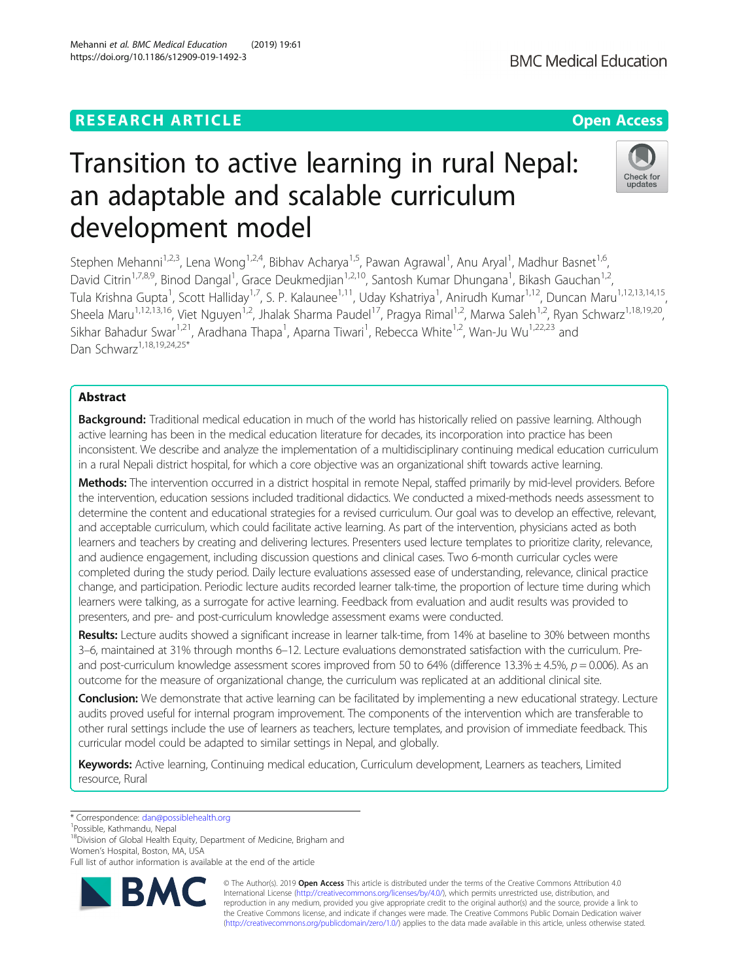## **RESEARCH ARTICLE Example 2018 12:30 THE Open Access**

# Transition to active learning in rural Nepal: an adaptable and scalable curriculum development model

Stephen Mehanni<sup>1,2,3</sup>, Lena Wong<sup>1,2,4</sup>, Bibhav Acharya<sup>1,5</sup>, Pawan Agrawal<sup>1</sup>, Anu Aryal<sup>1</sup>, Madhur Basnet<sup>1,6</sup>, David Citrin<sup>1,7,8,9</sup>, Binod Dangal<sup>1</sup>, Grace Deukmedjian<sup>1,2,10</sup>, Santosh Kumar Dhungana<sup>1</sup>, Bikash Gauchan<sup>1,2</sup>, Tula Krishna Gupta<sup>1</sup>, Scott Halliday<sup>1,7</sup>, S. P. Kalaunee<sup>1,11</sup>, Uday Kshatriya<sup>1</sup>, Anirudh Kumar<sup>1,12</sup>, Duncan Maru<sup>1,12,13,14,15</sup>, Sheela Maru<sup>1,12,13,16</sup>, Viet Nguyen<sup>1,2</sup>, Jhalak Sharma Paudel<sup>17</sup>, Pragya Rimal<sup>1,2</sup>, Marwa Saleh<sup>1,2</sup>, Ryan Schwarz<sup>1,18,19,20</sup>, Sikhar Bahadur Swar<sup>1,21</sup>, Aradhana Thapa<sup>1</sup>, Aparna Tiwari<sup>1</sup>, Rebecca White<sup>1,2</sup>, Wan-Ju Wu<sup>1,22,23</sup> and Dan Schwarz1,18,19,24,25\*

## Abstract

Background: Traditional medical education in much of the world has historically relied on passive learning. Although active learning has been in the medical education literature for decades, its incorporation into practice has been inconsistent. We describe and analyze the implementation of a multidisciplinary continuing medical education curriculum in a rural Nepali district hospital, for which a core objective was an organizational shift towards active learning.

Methods: The intervention occurred in a district hospital in remote Nepal, staffed primarily by mid-level providers. Before the intervention, education sessions included traditional didactics. We conducted a mixed-methods needs assessment to determine the content and educational strategies for a revised curriculum. Our goal was to develop an effective, relevant, and acceptable curriculum, which could facilitate active learning. As part of the intervention, physicians acted as both learners and teachers by creating and delivering lectures. Presenters used lecture templates to prioritize clarity, relevance, and audience engagement, including discussion questions and clinical cases. Two 6-month curricular cycles were completed during the study period. Daily lecture evaluations assessed ease of understanding, relevance, clinical practice change, and participation. Periodic lecture audits recorded learner talk-time, the proportion of lecture time during which learners were talking, as a surrogate for active learning. Feedback from evaluation and audit results was provided to presenters, and pre- and post-curriculum knowledge assessment exams were conducted.

Results: Lecture audits showed a significant increase in learner talk-time, from 14% at baseline to 30% between months 3–6, maintained at 31% through months 6–12. Lecture evaluations demonstrated satisfaction with the curriculum. Preand post-curriculum knowledge assessment scores improved from 50 to 64% (difference 13.3%  $\pm$  4.5%,  $p = 0.006$ ). As an outcome for the measure of organizational change, the curriculum was replicated at an additional clinical site.

**Conclusion:** We demonstrate that active learning can be facilitated by implementing a new educational strategy. Lecture audits proved useful for internal program improvement. The components of the intervention which are transferable to other rural settings include the use of learners as teachers, lecture templates, and provision of immediate feedback. This curricular model could be adapted to similar settings in Nepal, and globally.

Keywords: Active learning, Continuing medical education, Curriculum development, Learners as teachers, Limited resource, Rural

<sup>1</sup>Possible, Kathmandu, Nepal

<sup>18</sup>Division of Global Health Equity, Department of Medicine, Brigham and Women's Hospital, Boston, MA, USA

© The Author(s). 2019 **Open Access** This article is distributed under the terms of the Creative Commons Attribution 4.0 International License [\(http://creativecommons.org/licenses/by/4.0/](http://creativecommons.org/licenses/by/4.0/)), which permits unrestricted use, distribution, and reproduction in any medium, provided you give appropriate credit to the original author(s) and the source, provide a link to the Creative Commons license, and indicate if changes were made. The Creative Commons Public Domain Dedication waiver [\(http://creativecommons.org/publicdomain/zero/1.0/](http://creativecommons.org/publicdomain/zero/1.0/)) applies to the data made available in this article, unless otherwise stated.





Full list of author information is available at the end of the article

<sup>\*</sup> Correspondence: [dan@possiblehealth.org](mailto:dan@possiblehealth.org) <sup>1</sup>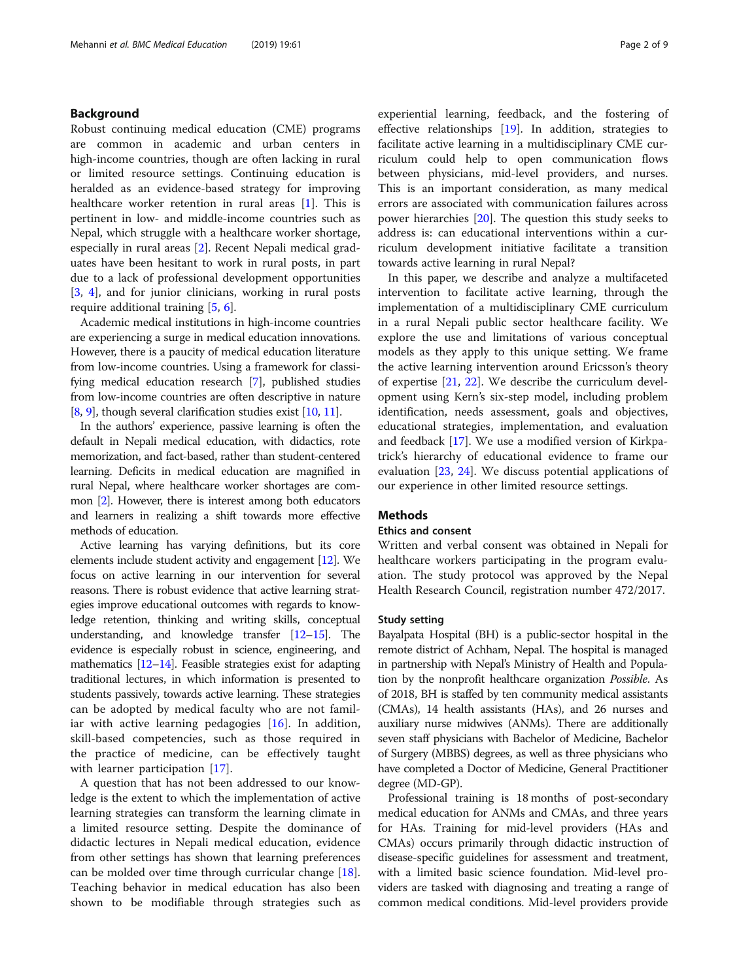## Background

Robust continuing medical education (CME) programs are common in academic and urban centers in high-income countries, though are often lacking in rural or limited resource settings. Continuing education is heralded as an evidence-based strategy for improving healthcare worker retention in rural areas [[1\]](#page-8-0). This is pertinent in low- and middle-income countries such as Nepal, which struggle with a healthcare worker shortage, especially in rural areas [[2\]](#page-8-0). Recent Nepali medical graduates have been hesitant to work in rural posts, in part due to a lack of professional development opportunities [[3,](#page-8-0) [4](#page-8-0)], and for junior clinicians, working in rural posts require additional training [\[5](#page-8-0), [6](#page-8-0)].

Academic medical institutions in high-income countries are experiencing a surge in medical education innovations. However, there is a paucity of medical education literature from low-income countries. Using a framework for classifying medical education research [[7\]](#page-8-0), published studies from low-income countries are often descriptive in nature [[8,](#page-8-0) [9](#page-8-0)], though several clarification studies exist [[10](#page-8-0), [11](#page-8-0)].

In the authors' experience, passive learning is often the default in Nepali medical education, with didactics, rote memorization, and fact-based, rather than student-centered learning. Deficits in medical education are magnified in rural Nepal, where healthcare worker shortages are common [\[2](#page-8-0)]. However, there is interest among both educators and learners in realizing a shift towards more effective methods of education.

Active learning has varying definitions, but its core elements include student activity and engagement [\[12\]](#page-8-0). We focus on active learning in our intervention for several reasons. There is robust evidence that active learning strategies improve educational outcomes with regards to knowledge retention, thinking and writing skills, conceptual understanding, and knowledge transfer [\[12](#page-8-0)–[15\]](#page-8-0). The evidence is especially robust in science, engineering, and mathematics [\[12](#page-8-0)–[14\]](#page-8-0). Feasible strategies exist for adapting traditional lectures, in which information is presented to students passively, towards active learning. These strategies can be adopted by medical faculty who are not familiar with active learning pedagogies [[16\]](#page-8-0). In addition, skill-based competencies, such as those required in the practice of medicine, can be effectively taught with learner participation [\[17](#page-8-0)].

A question that has not been addressed to our knowledge is the extent to which the implementation of active learning strategies can transform the learning climate in a limited resource setting. Despite the dominance of didactic lectures in Nepali medical education, evidence from other settings has shown that learning preferences can be molded over time through curricular change [\[18](#page-8-0)]. Teaching behavior in medical education has also been shown to be modifiable through strategies such as

experiential learning, feedback, and the fostering of effective relationships [[19](#page-8-0)]. In addition, strategies to facilitate active learning in a multidisciplinary CME curriculum could help to open communication flows between physicians, mid-level providers, and nurses. This is an important consideration, as many medical errors are associated with communication failures across power hierarchies [[20\]](#page-8-0). The question this study seeks to address is: can educational interventions within a curriculum development initiative facilitate a transition towards active learning in rural Nepal?

In this paper, we describe and analyze a multifaceted intervention to facilitate active learning, through the implementation of a multidisciplinary CME curriculum in a rural Nepali public sector healthcare facility. We explore the use and limitations of various conceptual models as they apply to this unique setting. We frame the active learning intervention around Ericsson's theory of expertise [\[21](#page-8-0), [22\]](#page-8-0). We describe the curriculum development using Kern's six-step model, including problem identification, needs assessment, goals and objectives, educational strategies, implementation, and evaluation and feedback [[17\]](#page-8-0). We use a modified version of Kirkpatrick's hierarchy of educational evidence to frame our evaluation [\[23](#page-8-0), [24\]](#page-8-0). We discuss potential applications of our experience in other limited resource settings.

## Methods

## Ethics and consent

Written and verbal consent was obtained in Nepali for healthcare workers participating in the program evaluation. The study protocol was approved by the Nepal Health Research Council, registration number 472/2017.

## Study setting

Bayalpata Hospital (BH) is a public-sector hospital in the remote district of Achham, Nepal. The hospital is managed in partnership with Nepal's Ministry of Health and Population by the nonprofit healthcare organization Possible. As of 2018, BH is staffed by ten community medical assistants (CMAs), 14 health assistants (HAs), and 26 nurses and auxiliary nurse midwives (ANMs). There are additionally seven staff physicians with Bachelor of Medicine, Bachelor of Surgery (MBBS) degrees, as well as three physicians who have completed a Doctor of Medicine, General Practitioner degree (MD-GP).

Professional training is 18 months of post-secondary medical education for ANMs and CMAs, and three years for HAs. Training for mid-level providers (HAs and CMAs) occurs primarily through didactic instruction of disease-specific guidelines for assessment and treatment, with a limited basic science foundation. Mid-level providers are tasked with diagnosing and treating a range of common medical conditions. Mid-level providers provide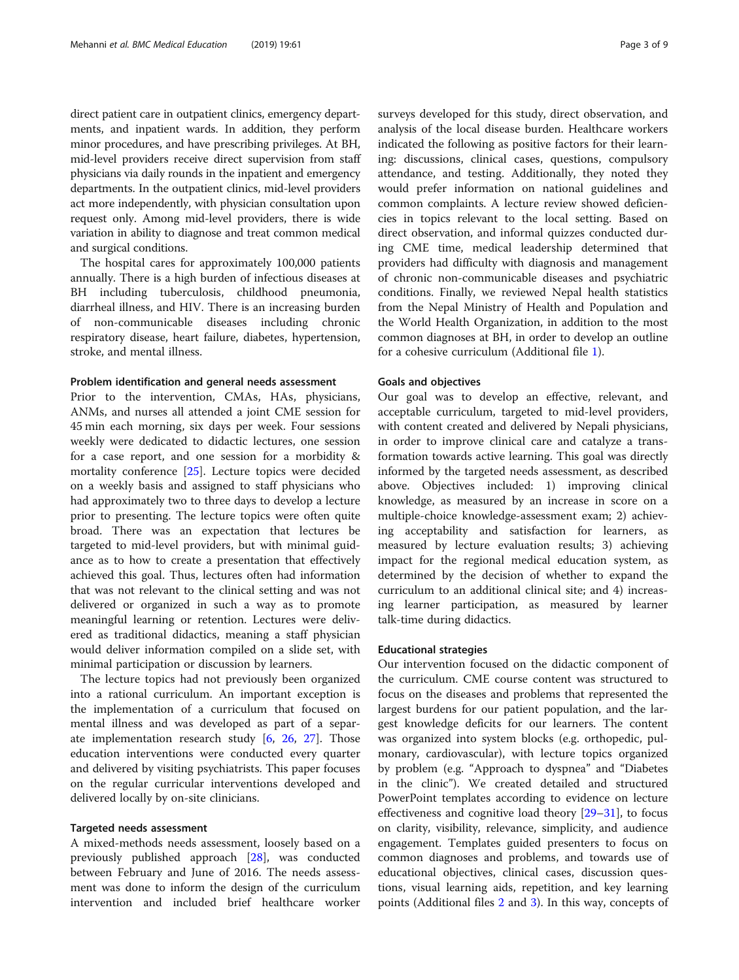direct patient care in outpatient clinics, emergency departments, and inpatient wards. In addition, they perform minor procedures, and have prescribing privileges. At BH, mid-level providers receive direct supervision from staff physicians via daily rounds in the inpatient and emergency departments. In the outpatient clinics, mid-level providers act more independently, with physician consultation upon request only. Among mid-level providers, there is wide variation in ability to diagnose and treat common medical and surgical conditions.

The hospital cares for approximately 100,000 patients annually. There is a high burden of infectious diseases at BH including tuberculosis, childhood pneumonia, diarrheal illness, and HIV. There is an increasing burden non-communicable diseases including chronic respiratory disease, heart failure, diabetes, hypertension, stroke, and mental illness.

#### Problem identification and general needs assessment

Prior to the intervention, CMAs, HAs, physicians, ANMs, and nurses all attended a joint CME session for 45 min each morning, six days per week. Four sessions weekly were dedicated to didactic lectures, one session for a case report, and one session for a morbidity & mortality conference [[25\]](#page-8-0). Lecture topics were decided on a weekly basis and assigned to staff physicians who had approximately two to three days to develop a lecture prior to presenting. The lecture topics were often quite broad. There was an expectation that lectures be targeted to mid-level providers, but with minimal guidance as to how to create a presentation that effectively achieved this goal. Thus, lectures often had information that was not relevant to the clinical setting and was not delivered or organized in such a way as to promote meaningful learning or retention. Lectures were delivered as traditional didactics, meaning a staff physician would deliver information compiled on a slide set, with minimal participation or discussion by learners.

The lecture topics had not previously been organized into a rational curriculum. An important exception is the implementation of a curriculum that focused on mental illness and was developed as part of a separate implementation research study [[6,](#page-8-0) [26](#page-8-0), [27\]](#page-8-0). Those education interventions were conducted every quarter and delivered by visiting psychiatrists. This paper focuses on the regular curricular interventions developed and delivered locally by on-site clinicians.

## Targeted needs assessment

A mixed-methods needs assessment, loosely based on a previously published approach [\[28\]](#page-8-0), was conducted between February and June of 2016. The needs assessment was done to inform the design of the curriculum intervention and included brief healthcare worker surveys developed for this study, direct observation, and analysis of the local disease burden. Healthcare workers indicated the following as positive factors for their learning: discussions, clinical cases, questions, compulsory attendance, and testing. Additionally, they noted they would prefer information on national guidelines and common complaints. A lecture review showed deficiencies in topics relevant to the local setting. Based on direct observation, and informal quizzes conducted during CME time, medical leadership determined that providers had difficulty with diagnosis and management of chronic non-communicable diseases and psychiatric conditions. Finally, we reviewed Nepal health statistics from the Nepal Ministry of Health and Population and the World Health Organization, in addition to the most common diagnoses at BH, in order to develop an outline for a cohesive curriculum (Additional file [1](#page-7-0)).

## Goals and objectives

Our goal was to develop an effective, relevant, and acceptable curriculum, targeted to mid-level providers, with content created and delivered by Nepali physicians, in order to improve clinical care and catalyze a transformation towards active learning. This goal was directly informed by the targeted needs assessment, as described above. Objectives included: 1) improving clinical knowledge, as measured by an increase in score on a multiple-choice knowledge-assessment exam; 2) achieving acceptability and satisfaction for learners, as measured by lecture evaluation results; 3) achieving impact for the regional medical education system, as determined by the decision of whether to expand the curriculum to an additional clinical site; and 4) increasing learner participation, as measured by learner talk-time during didactics.

## Educational strategies

Our intervention focused on the didactic component of the curriculum. CME course content was structured to focus on the diseases and problems that represented the largest burdens for our patient population, and the largest knowledge deficits for our learners. The content was organized into system blocks (e.g. orthopedic, pulmonary, cardiovascular), with lecture topics organized by problem (e.g. "Approach to dyspnea" and "Diabetes in the clinic"). We created detailed and structured PowerPoint templates according to evidence on lecture effectiveness and cognitive load theory [\[29](#page-8-0)–[31\]](#page-8-0), to focus on clarity, visibility, relevance, simplicity, and audience engagement. Templates guided presenters to focus on common diagnoses and problems, and towards use of educational objectives, clinical cases, discussion questions, visual learning aids, repetition, and key learning points (Additional files [2](#page-7-0) and [3\)](#page-7-0). In this way, concepts of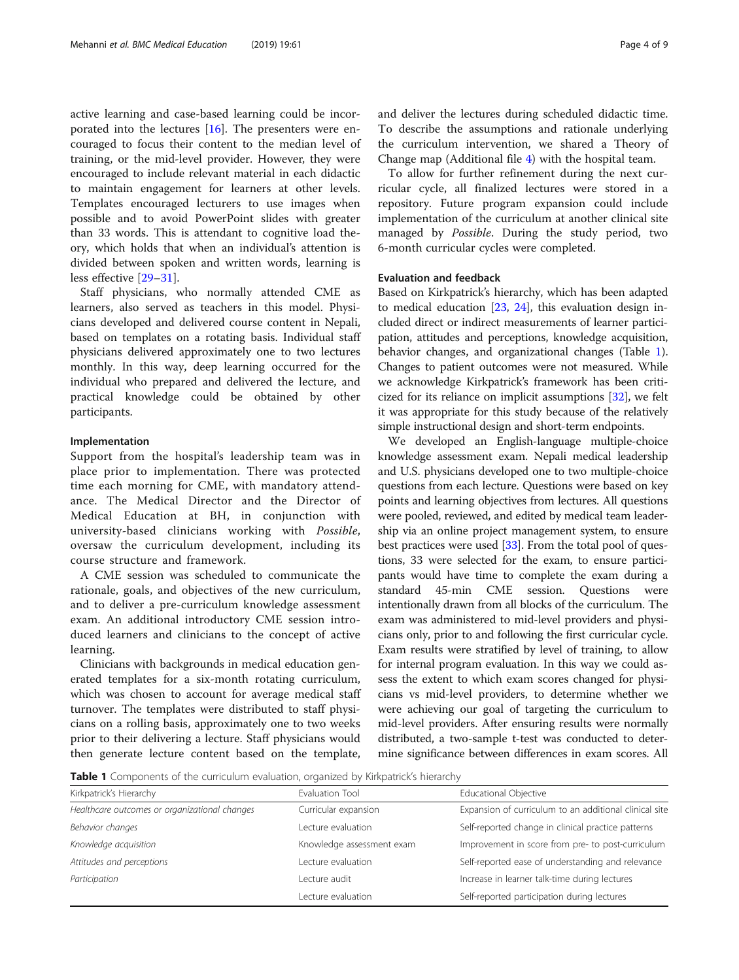active learning and case-based learning could be incorporated into the lectures  $[16]$  $[16]$ . The presenters were encouraged to focus their content to the median level of training, or the mid-level provider. However, they were encouraged to include relevant material in each didactic to maintain engagement for learners at other levels. Templates encouraged lecturers to use images when possible and to avoid PowerPoint slides with greater than 33 words. This is attendant to cognitive load theory, which holds that when an individual's attention is divided between spoken and written words, learning is less effective [[29](#page-8-0)–[31](#page-8-0)].

Staff physicians, who normally attended CME as learners, also served as teachers in this model. Physicians developed and delivered course content in Nepali, based on templates on a rotating basis. Individual staff physicians delivered approximately one to two lectures monthly. In this way, deep learning occurred for the individual who prepared and delivered the lecture, and practical knowledge could be obtained by other participants.

## Implementation

Support from the hospital's leadership team was in place prior to implementation. There was protected time each morning for CME, with mandatory attendance. The Medical Director and the Director of Medical Education at BH, in conjunction with university-based clinicians working with Possible, oversaw the curriculum development, including its course structure and framework.

A CME session was scheduled to communicate the rationale, goals, and objectives of the new curriculum, and to deliver a pre-curriculum knowledge assessment exam. An additional introductory CME session introduced learners and clinicians to the concept of active learning.

Clinicians with backgrounds in medical education generated templates for a six-month rotating curriculum, which was chosen to account for average medical staff turnover. The templates were distributed to staff physicians on a rolling basis, approximately one to two weeks prior to their delivering a lecture. Staff physicians would then generate lecture content based on the template, and deliver the lectures during scheduled didactic time. To describe the assumptions and rationale underlying the curriculum intervention, we shared a Theory of Change map (Additional file [4\)](#page-7-0) with the hospital team.

To allow for further refinement during the next curricular cycle, all finalized lectures were stored in a repository. Future program expansion could include implementation of the curriculum at another clinical site managed by Possible. During the study period, two 6-month curricular cycles were completed.

## Evaluation and feedback

Based on Kirkpatrick's hierarchy, which has been adapted to medical education [[23](#page-8-0), [24](#page-8-0)], this evaluation design included direct or indirect measurements of learner participation, attitudes and perceptions, knowledge acquisition, behavior changes, and organizational changes (Table 1). Changes to patient outcomes were not measured. While we acknowledge Kirkpatrick's framework has been criticized for its reliance on implicit assumptions [[32](#page-8-0)], we felt it was appropriate for this study because of the relatively simple instructional design and short-term endpoints.

We developed an English-language multiple-choice knowledge assessment exam. Nepali medical leadership and U.S. physicians developed one to two multiple-choice questions from each lecture. Questions were based on key points and learning objectives from lectures. All questions were pooled, reviewed, and edited by medical team leadership via an online project management system, to ensure best practices were used [\[33](#page-8-0)]. From the total pool of questions, 33 were selected for the exam, to ensure participants would have time to complete the exam during a standard 45-min CME session. Questions were intentionally drawn from all blocks of the curriculum. The exam was administered to mid-level providers and physicians only, prior to and following the first curricular cycle. Exam results were stratified by level of training, to allow for internal program evaluation. In this way we could assess the extent to which exam scores changed for physicians vs mid-level providers, to determine whether we were achieving our goal of targeting the curriculum to mid-level providers. After ensuring results were normally distributed, a two-sample t-test was conducted to determine significance between differences in exam scores. All

Table 1 Components of the curriculum evaluation, organized by Kirkpatrick's hierarchy

| Kirkpatrick's Hierarchy                       | Evaluation Tool           | <b>Educational Objective</b>                           |
|-----------------------------------------------|---------------------------|--------------------------------------------------------|
| Healthcare outcomes or organizational changes | Curricular expansion      | Expansion of curriculum to an additional clinical site |
| Behavior changes                              | Lecture evaluation        | Self-reported change in clinical practice patterns     |
| Knowledge acquisition                         | Knowledge assessment exam | Improvement in score from pre- to post-curriculum      |
| Attitudes and perceptions                     | Lecture evaluation        | Self-reported ease of understanding and relevance      |
| Participation                                 | Lecture audit             | Increase in learner talk-time during lectures          |
|                                               | Lecture evaluation        | Self-reported participation during lectures            |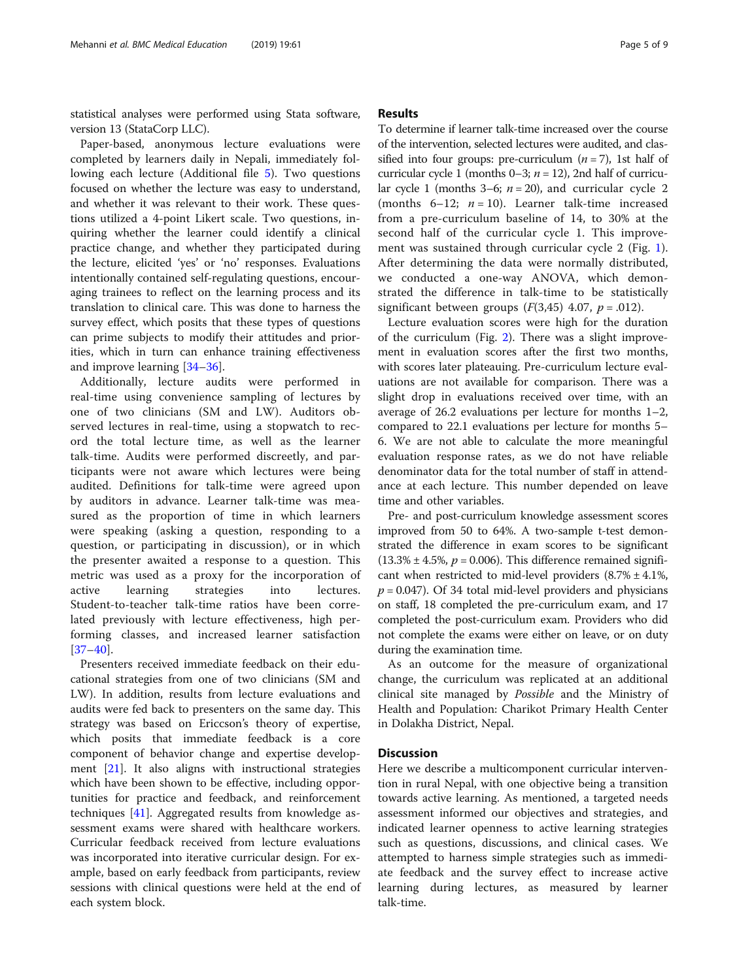statistical analyses were performed using Stata software, version 13 (StataCorp LLC).

Paper-based, anonymous lecture evaluations were completed by learners daily in Nepali, immediately following each lecture (Additional file [5](#page-7-0)). Two questions focused on whether the lecture was easy to understand, and whether it was relevant to their work. These questions utilized a 4-point Likert scale. Two questions, inquiring whether the learner could identify a clinical practice change, and whether they participated during the lecture, elicited 'yes' or 'no' responses. Evaluations intentionally contained self-regulating questions, encouraging trainees to reflect on the learning process and its translation to clinical care. This was done to harness the survey effect, which posits that these types of questions can prime subjects to modify their attitudes and priorities, which in turn can enhance training effectiveness and improve learning [\[34](#page-8-0)–[36](#page-8-0)].

Additionally, lecture audits were performed in real-time using convenience sampling of lectures by one of two clinicians (SM and LW). Auditors observed lectures in real-time, using a stopwatch to record the total lecture time, as well as the learner talk-time. Audits were performed discreetly, and participants were not aware which lectures were being audited. Definitions for talk-time were agreed upon by auditors in advance. Learner talk-time was measured as the proportion of time in which learners were speaking (asking a question, responding to a question, or participating in discussion), or in which the presenter awaited a response to a question. This metric was used as a proxy for the incorporation of active learning strategies into lectures. Student-to-teacher talk-time ratios have been correlated previously with lecture effectiveness, high performing classes, and increased learner satisfaction [[37](#page-8-0)–[40\]](#page-8-0).

Presenters received immediate feedback on their educational strategies from one of two clinicians (SM and LW). In addition, results from lecture evaluations and audits were fed back to presenters on the same day. This strategy was based on Ericcson's theory of expertise, which posits that immediate feedback is a core component of behavior change and expertise development [[21\]](#page-8-0). It also aligns with instructional strategies which have been shown to be effective, including opportunities for practice and feedback, and reinforcement techniques [[41\]](#page-8-0). Aggregated results from knowledge assessment exams were shared with healthcare workers. Curricular feedback received from lecture evaluations was incorporated into iterative curricular design. For example, based on early feedback from participants, review sessions with clinical questions were held at the end of each system block.

## Results

To determine if learner talk-time increased over the course of the intervention, selected lectures were audited, and classified into four groups: pre-curriculum  $(n = 7)$ , 1st half of curricular cycle 1 (months  $0-3$ ;  $n = 12$ ), 2nd half of curricular cycle 1 (months 3–6;  $n = 20$ ), and curricular cycle 2 (months  $6-12$ ;  $n = 10$ ). Learner talk-time increased from a pre-curriculum baseline of 14, to 30% at the second half of the curricular cycle 1. This improvement was sustained through curricular cycle 2 (Fig. [1](#page-5-0)). After determining the data were normally distributed, we conducted a one-way ANOVA, which demonstrated the difference in talk-time to be statistically significant between groups ( $F(3,45)$  4.07,  $p = .012$ ).

Lecture evaluation scores were high for the duration of the curriculum (Fig. [2\)](#page-5-0). There was a slight improvement in evaluation scores after the first two months, with scores later plateauing. Pre-curriculum lecture evaluations are not available for comparison. There was a slight drop in evaluations received over time, with an average of 26.2 evaluations per lecture for months 1–2, compared to 22.1 evaluations per lecture for months 5– 6. We are not able to calculate the more meaningful evaluation response rates, as we do not have reliable denominator data for the total number of staff in attendance at each lecture. This number depended on leave time and other variables.

Pre- and post-curriculum knowledge assessment scores improved from 50 to 64%. A two-sample t-test demonstrated the difference in exam scores to be significant  $(13.3\% \pm 4.5\%, p = 0.006)$ . This difference remained significant when restricted to mid-level providers  $(8.7% \pm 4.1%$ ,  $p = 0.047$ ). Of 34 total mid-level providers and physicians on staff, 18 completed the pre-curriculum exam, and 17 completed the post-curriculum exam. Providers who did not complete the exams were either on leave, or on duty during the examination time.

As an outcome for the measure of organizational change, the curriculum was replicated at an additional clinical site managed by Possible and the Ministry of Health and Population: Charikot Primary Health Center in Dolakha District, Nepal.

## **Discussion**

Here we describe a multicomponent curricular intervention in rural Nepal, with one objective being a transition towards active learning. As mentioned, a targeted needs assessment informed our objectives and strategies, and indicated learner openness to active learning strategies such as questions, discussions, and clinical cases. We attempted to harness simple strategies such as immediate feedback and the survey effect to increase active learning during lectures, as measured by learner talk-time.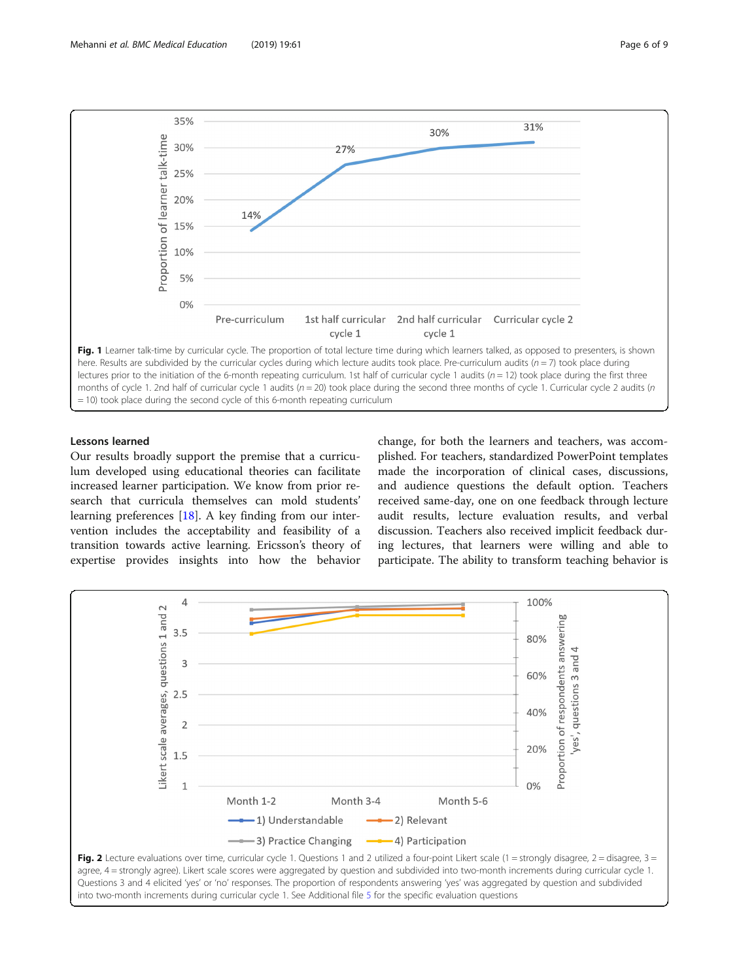<span id="page-5-0"></span>

## Lessons learned

Our results broadly support the premise that a curriculum developed using educational theories can facilitate increased learner participation. We know from prior research that curricula themselves can mold students' learning preferences [\[18\]](#page-8-0). A key finding from our intervention includes the acceptability and feasibility of a transition towards active learning. Ericsson's theory of expertise provides insights into how the behavior

change, for both the learners and teachers, was accomplished. For teachers, standardized PowerPoint templates made the incorporation of clinical cases, discussions, and audience questions the default option. Teachers received same-day, one on one feedback through lecture audit results, lecture evaluation results, and verbal discussion. Teachers also received implicit feedback during lectures, that learners were willing and able to participate. The ability to transform teaching behavior is

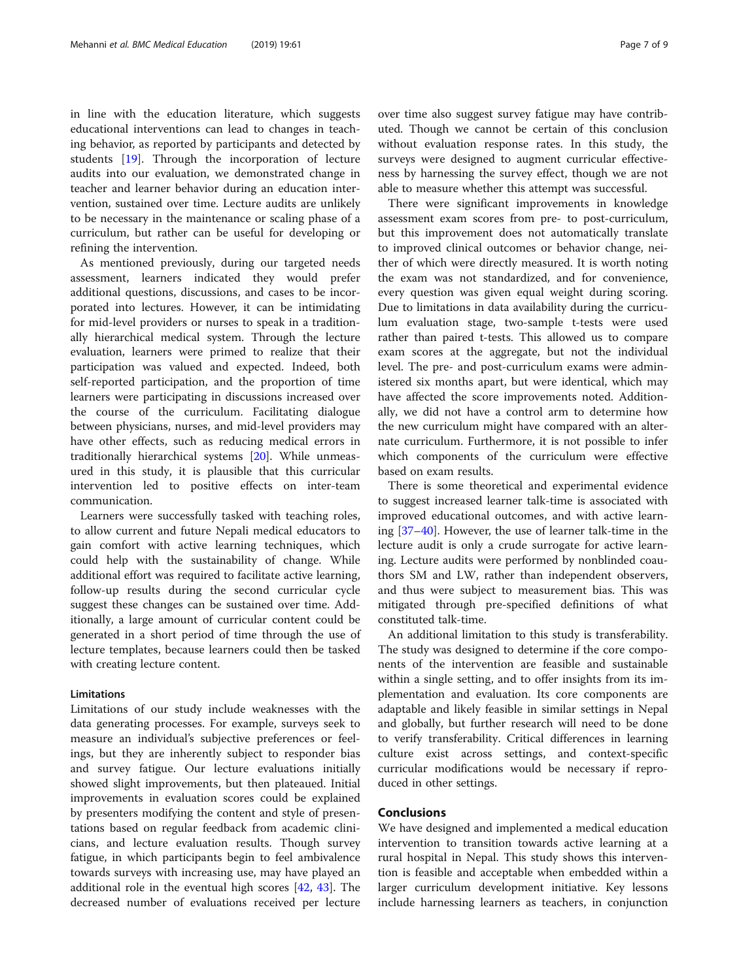in line with the education literature, which suggests educational interventions can lead to changes in teaching behavior, as reported by participants and detected by students [[19\]](#page-8-0). Through the incorporation of lecture audits into our evaluation, we demonstrated change in teacher and learner behavior during an education intervention, sustained over time. Lecture audits are unlikely to be necessary in the maintenance or scaling phase of a curriculum, but rather can be useful for developing or refining the intervention.

As mentioned previously, during our targeted needs assessment, learners indicated they would prefer additional questions, discussions, and cases to be incorporated into lectures. However, it can be intimidating for mid-level providers or nurses to speak in a traditionally hierarchical medical system. Through the lecture evaluation, learners were primed to realize that their participation was valued and expected. Indeed, both self-reported participation, and the proportion of time learners were participating in discussions increased over the course of the curriculum. Facilitating dialogue between physicians, nurses, and mid-level providers may have other effects, such as reducing medical errors in traditionally hierarchical systems [\[20](#page-8-0)]. While unmeasured in this study, it is plausible that this curricular intervention led to positive effects on inter-team communication.

Learners were successfully tasked with teaching roles, to allow current and future Nepali medical educators to gain comfort with active learning techniques, which could help with the sustainability of change. While additional effort was required to facilitate active learning, follow-up results during the second curricular cycle suggest these changes can be sustained over time. Additionally, a large amount of curricular content could be generated in a short period of time through the use of lecture templates, because learners could then be tasked with creating lecture content.

## Limitations

Limitations of our study include weaknesses with the data generating processes. For example, surveys seek to measure an individual's subjective preferences or feelings, but they are inherently subject to responder bias and survey fatigue. Our lecture evaluations initially showed slight improvements, but then plateaued. Initial improvements in evaluation scores could be explained by presenters modifying the content and style of presentations based on regular feedback from academic clinicians, and lecture evaluation results. Though survey fatigue, in which participants begin to feel ambivalence towards surveys with increasing use, may have played an additional role in the eventual high scores [[42,](#page-8-0) [43](#page-8-0)]. The decreased number of evaluations received per lecture over time also suggest survey fatigue may have contributed. Though we cannot be certain of this conclusion without evaluation response rates. In this study, the surveys were designed to augment curricular effectiveness by harnessing the survey effect, though we are not able to measure whether this attempt was successful.

There were significant improvements in knowledge assessment exam scores from pre- to post-curriculum, but this improvement does not automatically translate to improved clinical outcomes or behavior change, neither of which were directly measured. It is worth noting the exam was not standardized, and for convenience, every question was given equal weight during scoring. Due to limitations in data availability during the curriculum evaluation stage, two-sample t-tests were used rather than paired t-tests. This allowed us to compare exam scores at the aggregate, but not the individual level. The pre- and post-curriculum exams were administered six months apart, but were identical, which may have affected the score improvements noted. Additionally, we did not have a control arm to determine how the new curriculum might have compared with an alternate curriculum. Furthermore, it is not possible to infer which components of the curriculum were effective based on exam results.

There is some theoretical and experimental evidence to suggest increased learner talk-time is associated with improved educational outcomes, and with active learning [[37](#page-8-0)–[40](#page-8-0)]. However, the use of learner talk-time in the lecture audit is only a crude surrogate for active learning. Lecture audits were performed by nonblinded coauthors SM and LW, rather than independent observers, and thus were subject to measurement bias. This was mitigated through pre-specified definitions of what constituted talk-time.

An additional limitation to this study is transferability. The study was designed to determine if the core components of the intervention are feasible and sustainable within a single setting, and to offer insights from its implementation and evaluation. Its core components are adaptable and likely feasible in similar settings in Nepal and globally, but further research will need to be done to verify transferability. Critical differences in learning culture exist across settings, and context-specific curricular modifications would be necessary if reproduced in other settings.

## Conclusions

We have designed and implemented a medical education intervention to transition towards active learning at a rural hospital in Nepal. This study shows this intervention is feasible and acceptable when embedded within a larger curriculum development initiative. Key lessons include harnessing learners as teachers, in conjunction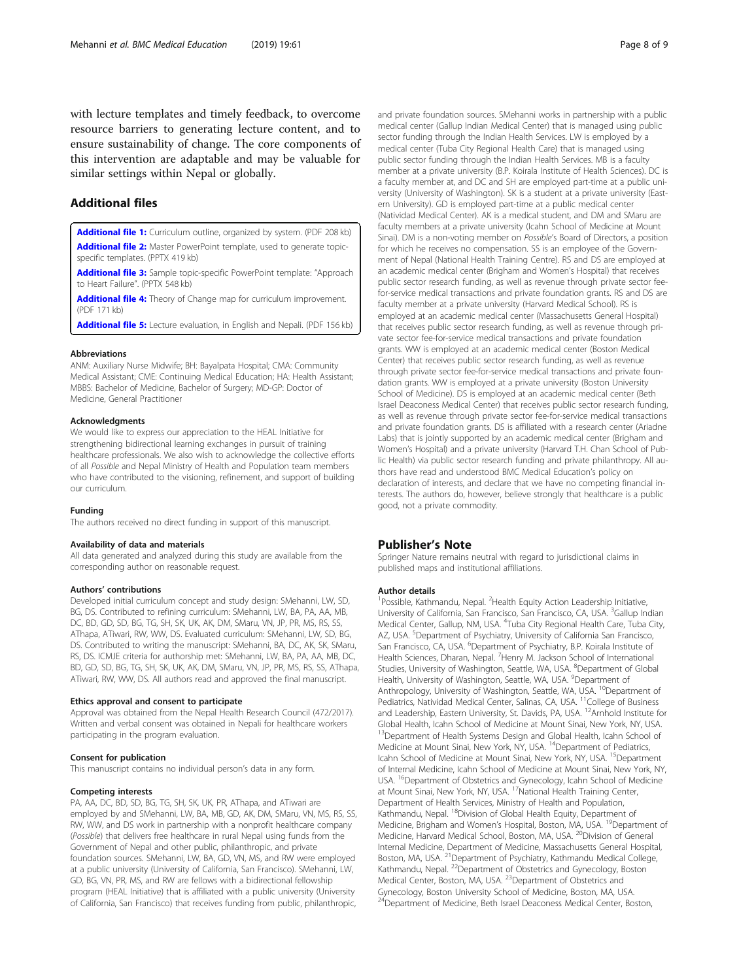## <span id="page-7-0"></span>Additional files

[Additional file 1:](https://doi.org/10.1186/s12909-019-1492-3) Curriculum outline, organized by system. (PDF 208 kb) [Additional file 2:](https://doi.org/10.1186/s12909-019-1492-3) Master PowerPoint template, used to generate topicspecific templates. (PPTX 419 kb)

[Additional file 3:](https://doi.org/10.1186/s12909-019-1492-3) Sample topic-specific PowerPoint template: "Approach to Heart Failure". (PPTX 548 kb)

[Additional file 4:](https://doi.org/10.1186/s12909-019-1492-3) Theory of Change map for curriculum improvement. (PDF 171 kb)

[Additional file 5:](https://doi.org/10.1186/s12909-019-1492-3) Lecture evaluation, in English and Nepali. (PDF 156 kb)

#### Abbreviations

ANM: Auxiliary Nurse Midwife; BH: Bayalpata Hospital; CMA: Community Medical Assistant; CME: Continuing Medical Education; HA: Health Assistant; MBBS: Bachelor of Medicine, Bachelor of Surgery; MD-GP: Doctor of Medicine, General Practitioner

#### Acknowledgments

We would like to express our appreciation to the HEAL Initiative for strengthening bidirectional learning exchanges in pursuit of training healthcare professionals. We also wish to acknowledge the collective efforts of all Possible and Nepal Ministry of Health and Population team members who have contributed to the visioning, refinement, and support of building our curriculum.

#### Funding

The authors received no direct funding in support of this manuscript.

## Availability of data and materials

All data generated and analyzed during this study are available from the corresponding author on reasonable request.

#### Authors' contributions

Developed initial curriculum concept and study design: SMehanni, LW, SD, BG, DS. Contributed to refining curriculum: SMehanni, LW, BA, PA, AA, MB, DC, BD, GD, SD, BG, TG, SH, SK, UK, AK, DM, SMaru, VN, JP, PR, MS, RS, SS, AThapa, ATiwari, RW, WW, DS. Evaluated curriculum: SMehanni, LW, SD, BG, DS. Contributed to writing the manuscript: SMehanni, BA, DC, AK, SK, SMaru, RS, DS. ICMJE criteria for authorship met: SMehanni, LW, BA, PA, AA, MB, DC, BD, GD, SD, BG, TG, SH, SK, UK, AK, DM, SMaru, VN, JP, PR, MS, RS, SS, AThapa, ATiwari, RW, WW, DS. All authors read and approved the final manuscript.

## Ethics approval and consent to participate

Approval was obtained from the Nepal Health Research Council (472/2017). Written and verbal consent was obtained in Nepali for healthcare workers participating in the program evaluation.

#### Consent for publication

This manuscript contains no individual person's data in any form.

#### Competing interests

PA, AA, DC, BD, SD, BG, TG, SH, SK, UK, PR, AThapa, and ATiwari are employed by and SMehanni, LW, BA, MB, GD, AK, DM, SMaru, VN, MS, RS, SS, RW, WW, and DS work in partnership with a nonprofit healthcare company (Possible) that delivers free healthcare in rural Nepal using funds from the Government of Nepal and other public, philanthropic, and private foundation sources. SMehanni, LW, BA, GD, VN, MS, and RW were employed at a public university (University of California, San Francisco). SMehanni, LW, GD, BG, VN, PR, MS, and RW are fellows with a bidirectional fellowship program (HEAL Initiative) that is affiliated with a public university (University of California, San Francisco) that receives funding from public, philanthropic,

and private foundation sources. SMehanni works in partnership with a public medical center (Gallup Indian Medical Center) that is managed using public sector funding through the Indian Health Services. LW is employed by a medical center (Tuba City Regional Health Care) that is managed using public sector funding through the Indian Health Services. MB is a faculty member at a private university (B.P. Koirala Institute of Health Sciences). DC is a faculty member at, and DC and SH are employed part-time at a public university (University of Washington). SK is a student at a private university (Eastern University). GD is employed part-time at a public medical center (Natividad Medical Center). AK is a medical student, and DM and SMaru are faculty members at a private university (Icahn School of Medicine at Mount Sinai). DM is a non-voting member on Possible's Board of Directors, a position for which he receives no compensation. SS is an employee of the Government of Nepal (National Health Training Centre). RS and DS are employed at an academic medical center (Brigham and Women's Hospital) that receives public sector research funding, as well as revenue through private sector feefor-service medical transactions and private foundation grants. RS and DS are faculty member at a private university (Harvard Medical School). RS is employed at an academic medical center (Massachusetts General Hospital) that receives public sector research funding, as well as revenue through private sector fee-for-service medical transactions and private foundation grants. WW is employed at an academic medical center (Boston Medical Center) that receives public sector research funding, as well as revenue through private sector fee-for-service medical transactions and private foundation grants. WW is employed at a private university (Boston University School of Medicine). DS is employed at an academic medical center (Beth Israel Deaconess Medical Center) that receives public sector research funding, as well as revenue through private sector fee-for-service medical transactions and private foundation grants. DS is affiliated with a research center (Ariadne Labs) that is jointly supported by an academic medical center (Brigham and Women's Hospital) and a private university (Harvard T.H. Chan School of Public Health) via public sector research funding and private philanthropy. All authors have read and understood BMC Medical Education's policy on declaration of interests, and declare that we have no competing financial interests. The authors do, however, believe strongly that healthcare is a public good, not a private commodity.

## Publisher's Note

Springer Nature remains neutral with regard to jurisdictional claims in published maps and institutional affiliations.

#### Author details

<sup>1</sup> Possible, Kathmandu, Nepal. <sup>2</sup> Health Equity Action Leadership Initiative University of California, San Francisco, San Francisco, CA, USA. <sup>3</sup>Gallup Indian Medical Center, Gallup, NM, USA. <sup>4</sup>Tuba City Regional Health Care, Tuba City AZ, USA. <sup>5</sup>Department of Psychiatry, University of California San Francisco, San Francisco, CA, USA. <sup>6</sup>Department of Psychiatry, B.P. Koirala Institute of Health Sciences, Dharan, Nepal. <sup>7</sup>Henry M. Jackson School of International Studies, University of Washington, Seattle, WA, USA. <sup>8</sup>Department of Global Health, University of Washington, Seattle, WA, USA. <sup>9</sup>Department of Anthropology, University of Washington, Seattle, WA, USA. <sup>10</sup>Department of Pediatrics, Natividad Medical Center, Salinas, CA, USA. <sup>11</sup>College of Business and Leadership, Eastern University, St. Davids, PA, USA. <sup>12</sup>Arnhold Institute for Global Health, Icahn School of Medicine at Mount Sinai, New York, NY, USA. <sup>13</sup>Department of Health Systems Design and Global Health, Icahn School of Medicine at Mount Sinai, New York, NY, USA. <sup>14</sup>Department of Pediatrics, Icahn School of Medicine at Mount Sinai, New York, NY, USA. <sup>15</sup>Department of Internal Medicine, Icahn School of Medicine at Mount Sinai, New York, NY, USA. <sup>16</sup>Department of Obstetrics and Gynecology, Icahn School of Medicine at Mount Sinai, New York, NY, USA. <sup>17</sup>National Health Training Center, Department of Health Services, Ministry of Health and Population, Kathmandu, Nepal. <sup>18</sup>Division of Global Health Equity, Department of Medicine, Brigham and Women's Hospital, Boston, MA, USA. <sup>19</sup>Department of Medicine, Harvard Medical School, Boston, MA, USA. 20Division of General Internal Medicine, Department of Medicine, Massachusetts General Hospital, Boston, MA, USA. <sup>21</sup> Department of Psychiatry, Kathmandu Medical College, Kathmandu, Nepal. <sup>22</sup>Department of Obstetrics and Gynecology, Boston Medical Center, Boston, MA, USA. 23Department of Obstetrics and Gynecology, Boston University School of Medicine, Boston, MA, USA. <sup>24</sup>Department of Medicine, Beth Israel Deaconess Medical Center, Boston,